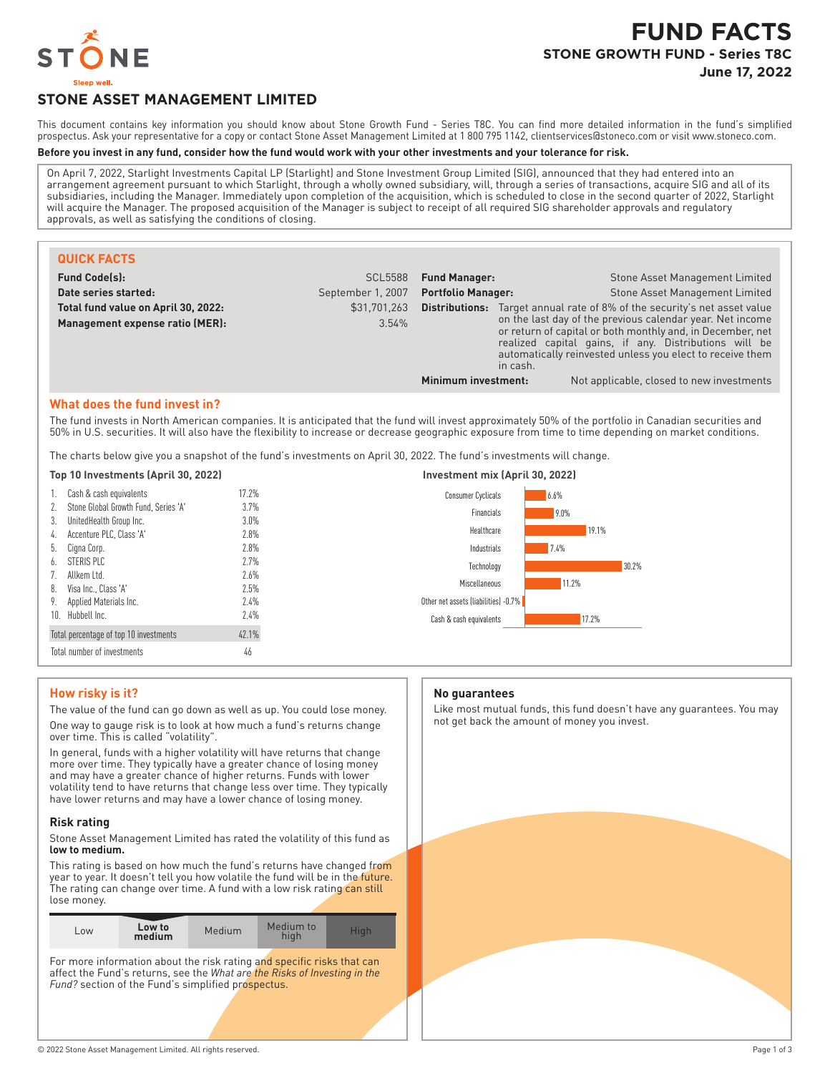

# **STONE ASSET MANAGEMENT LIMITED**

This document contains key information you should know about Stone Growth Fund - Series T8C. You can find more detailed information in the fund's simplified prospectus. Ask your representative for a copy or contact Stone Asset Management Limited at 1 800 795 1142, clientservices@stoneco.com or visit www.stoneco.com.

#### **Before you invest in any fund, consider how the fund would work with your other investments and your tolerance for risk.**

On April 7, 2022, Starlight Investments Capital LP (Starlight) and Stone Investment Group Limited (SIG), announced that they had entered into an arrangement agreement pursuant to which Starlight, through a wholly owned subsidiary, will, through a series of transactions, acquire SIG and all of its subsidiaries, including the Manager. Immediately upon completion of the acquisition, which is scheduled to close in the second quarter of 2022, Starlight will acquire the Manager. The proposed acquisition of the Manager is subject to receipt of all required SIG shareholder approvals and regulatory approvals, as well as satisfying the conditions of closing.

| <b>QUICK FACTS</b>                                                     |                       |                           |          |                                                                                                                                                                                                                                                                                                             |
|------------------------------------------------------------------------|-----------------------|---------------------------|----------|-------------------------------------------------------------------------------------------------------------------------------------------------------------------------------------------------------------------------------------------------------------------------------------------------------------|
| <b>Fund Code(s):</b>                                                   | <b>SCL5588</b>        | <b>Fund Manager:</b>      |          | Stone Asset Management Limited                                                                                                                                                                                                                                                                              |
| Date series started:                                                   | September 1, 2007     | <b>Portfolio Manager:</b> |          | Stone Asset Management Limited                                                                                                                                                                                                                                                                              |
| Total fund value on April 30, 2022:<br>Management expense ratio (MER): | \$31,701,263<br>3.54% | Distributions:            | in cash. | Target annual rate of 8% of the security's net asset value<br>on the last day of the previous calendar year. Net income<br>or return of capital or both monthly and, in December, net<br>realized capital gains, if any. Distributions will be<br>automatically reinvested unless you elect to receive them |
|                                                                        |                       | Minimum investment:       |          | Not applicable, closed to new investments                                                                                                                                                                                                                                                                   |

## **What does the fund invest in?**

The fund invests in North American companies. It is anticipated that the fund will invest approximately 50% of the portfolio in Canadian securities and 50% in U.S. securities. It will also have the flexibility to increase or decrease geographic exposure from time to time depending on market conditions.

The charts below give you a snapshot of the fund's investments on April 30, 2022. The fund's investments will change.

|  | Top 10 Investments (April 30, 2022) |  |  |
|--|-------------------------------------|--|--|
|--|-------------------------------------|--|--|

| 1.                                              | Cash & cash equivalents              | 17.2% |  |
|-------------------------------------------------|--------------------------------------|-------|--|
| 2.                                              | Stone Global Growth Fund, Series 'A' | 3.7%  |  |
| 3.                                              | UnitedHealth Group Inc.              | 3.0%  |  |
| 4.                                              | Accenture PLC, Class 'A'             | 7.8%  |  |
| 5.                                              | Cigna Corp.                          | 7.8%  |  |
| 6.                                              | STERIS PLC                           | 77%   |  |
| 7 <sub>1</sub>                                  | Allkem I td.                         | 7.6%  |  |
| 8.                                              | Visa Inc., Class 'A'                 | 7.5%  |  |
| 9.                                              | Applied Materials Inc.               | 7.4%  |  |
| 10.                                             | Hubbell Inc.                         | 7.4%  |  |
| 42.1%<br>Total percentage of top 10 investments |                                      |       |  |
| Total number of investments<br>46               |                                      |       |  |



# **How risky is it?**

The value of the fund can go down as well as up. You could lose money. One way to gauge risk is to look at how much a fund's returns change over time. This is called "volatility".

In general, funds with a higher volatility will have returns that change more over time. They typically have a greater chance of losing money and may have a greater chance of higher returns. Funds with lower volatility tend to have returns that change less over time. They typically have lower returns and may have a lower chance of losing money.

#### **Risk rating**

Stone Asset Management Limited has rated the volatility of this fund as **low to medium.**

This rating is based on how much the fund's returns have changed from year to year. It doesn't tell you how volatile the fund will be in the future. The rating can change over time. A fund with a low risk rating can still lose money.

For more information about the risk rating and specific risks that can affect the Fund's returns, see the *What are the Risks of Investing in the* Fund? section of the Fund's simplified prospectus.

#### **No guarantees**

Like most mutual funds, this fund doesn't have any guarantees. You may not get back the amount of money you invest.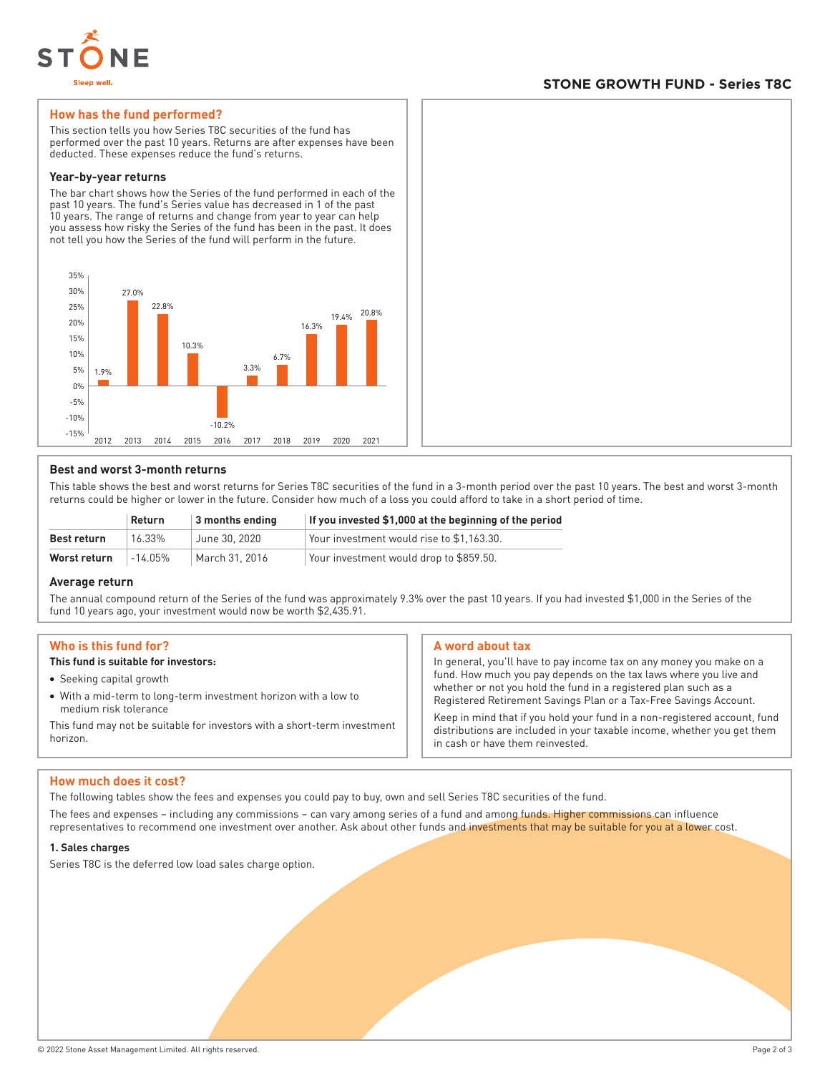

# **STONE GROWTH FUND - Series T8C**

## **How has the fund performed?**

This section tells you how Series T8C securities of the fund has performed over the past 10 years. Returns are after expenses have been deducted. These expenses reduce the fund's returns.

#### **Year-by-year returns**

The bar chart shows how the Series of the fund performed in each of the past 10 years. The fund's Series value has decreased in 1 of the past 10 years. The range of returns and change from year to year can help you assess how risky the Series of the fund has been in the past. It does not tell you how the Series of the fund will perform in the future.



## **Best and worst 3-month returns**

This table shows the best and worst returns for Series T8C securities of the fund in a 3-month period over the past 10 years. The best and worst 3-month returns could be higher or lower in the future. Consider how much of a loss you could afford to take in a short period of time.

|              | Return  | 3 months ending | If you invested \$1,000 at the beginning of the period |
|--------------|---------|-----------------|--------------------------------------------------------|
| Best return  | 16.33%  | June 30, 2020   | Your investment would rise to \$1.163.30.              |
| Worst return | -14.05% | March 31, 2016  | Your investment would drop to \$859.50.                |

## **Average return**

The annual compound return of the Series of the fund was approximately 9.3% over the past 10 years. If you had invested \$1,000 in the Series of the fund 10 years ago, your investment would now be worth \$2,435.91.

## **Who is this fund for?**

# **This fund is suitable for investors:**

- Seeking capital growth
- With a mid-term to long-term investment horizon with a low to medium risk tolerance

This fund may not be suitable for investors with a short-term investment horizon.

## **A word about tax**

In general, you'll have to pay income tax on any money you make on a fund. How much you pay depends on the tax laws where you live and whether or not you hold the fund in a registered plan such as a Registered Retirement Savings Plan or a Tax-Free Savings Account.

Keep in mind that if you hold your fund in a non-registered account, fund distributions are included in your taxable income, whether you get them in cash or have them reinvested.

## **How much does it cost?**

The following tables show the fees and expenses you could pay to buy, own and sell Series T8C securities of the fund.

The fees and expenses – including any commissions – can vary among series of a fund and among funds. Higher commissions can influence representatives to recommend one investment over another. Ask about other funds and investments that may be suitable for you at a lower cost.

#### **1. Sales charges**

Series T8C is the deferred low load sales charge option.